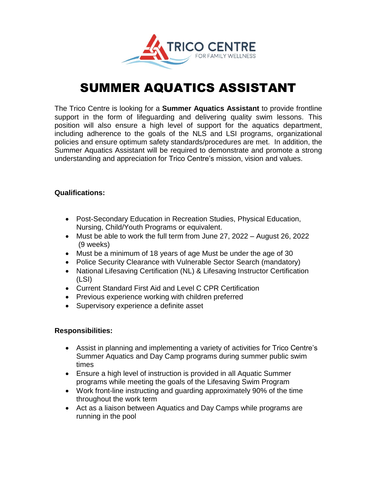

# SUMMER AQUATICS ASSISTANT

The Trico Centre is looking for a **Summer Aquatics Assistant** to provide frontline support in the form of lifeguarding and delivering quality swim lessons. This position will also ensure a high level of support for the aquatics department, including adherence to the goals of the NLS and LSI programs, organizational policies and ensure optimum safety standards/procedures are met. In addition, the Summer Aquatics Assistant will be required to demonstrate and promote a strong understanding and appreciation for Trico Centre's mission, vision and values.

## **Qualifications:**

- Post-Secondary Education in Recreation Studies, Physical Education, Nursing, Child/Youth Programs or equivalent.
- Must be able to work the full term from June 27, 2022 August 26, 2022 (9 weeks)
- Must be a minimum of 18 years of age Must be under the age of 30
- Police Security Clearance with Vulnerable Sector Search (mandatory)
- National Lifesaving Certification (NL) & Lifesaving Instructor Certification (LSI)
- Current Standard First Aid and Level C CPR Certification
- Previous experience working with children preferred
- Supervisory experience a definite asset

# **Responsibilities:**

- Assist in planning and implementing a variety of activities for Trico Centre's Summer Aquatics and Day Camp programs during summer public swim times
- Ensure a high level of instruction is provided in all Aquatic Summer programs while meeting the goals of the Lifesaving Swim Program
- Work front-line instructing and guarding approximately 90% of the time throughout the work term
- Act as a liaison between Aquatics and Day Camps while programs are running in the pool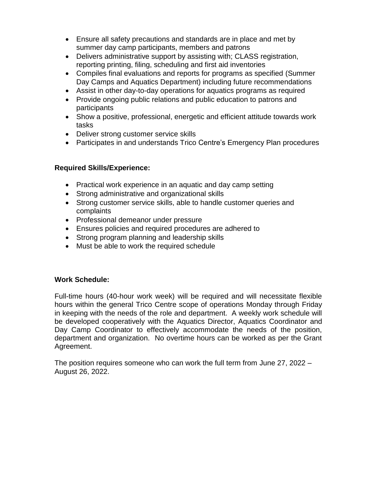- Ensure all safety precautions and standards are in place and met by summer day camp participants, members and patrons
- Delivers administrative support by assisting with; CLASS registration, reporting printing, filing, scheduling and first aid inventories
- Compiles final evaluations and reports for programs as specified (Summer Day Camps and Aquatics Department) including future recommendations
- Assist in other day-to-day operations for aquatics programs as required
- Provide ongoing public relations and public education to patrons and participants
- Show a positive, professional, energetic and efficient attitude towards work tasks
- Deliver strong customer service skills
- Participates in and understands Trico Centre's Emergency Plan procedures

# **Required Skills/Experience:**

- Practical work experience in an aquatic and day camp setting
- Strong administrative and organizational skills
- Strong customer service skills, able to handle customer queries and complaints
- Professional demeanor under pressure
- Ensures policies and required procedures are adhered to
- Strong program planning and leadership skills
- Must be able to work the required schedule

# **Work Schedule:**

Full-time hours (40-hour work week) will be required and will necessitate flexible hours within the general Trico Centre scope of operations Monday through Friday in keeping with the needs of the role and department. A weekly work schedule will be developed cooperatively with the Aquatics Director, Aquatics Coordinator and Day Camp Coordinator to effectively accommodate the needs of the position, department and organization. No overtime hours can be worked as per the Grant Agreement.

The position requires someone who can work the full term from June 27, 2022 – August 26, 2022.